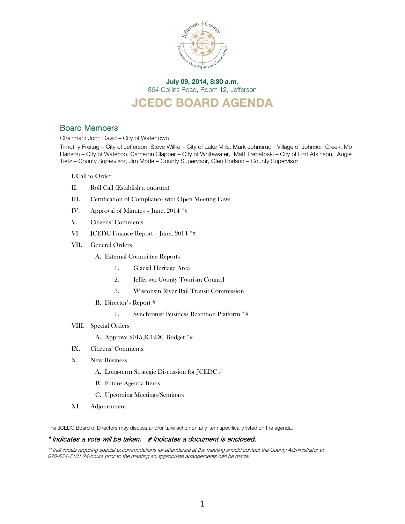

# July 09, 2014, 8:30 a.m. 864 Collins Road, Room 12, Jefferson

# JCEDC BOARD AGENDA

# Board Members

Chairman: John David – City of Watertown

Timothy Freitag – City of Jefferson, Steve Wilke – City of Lake Mills, Mark Johnsrud - Village of Johnson Creek, Mo Hanson – City of Waterloo, Cameron Clapper – City of Whitewater, Matt Trebatoski – City of Fort Atkinson, Augie Tietz – County Supervisor, Jim Mode – County Supervisor, Glen Borland – County Supervisor

I.Call to Order

- II. Roll Call (Establish a quorum)
- III. Certification of Compliance with Open Meeting Laws
- IV. Approval of Minutes June, 2014 \*#
- V. Citizens' Comments
- VI. JCEDC Finance Report June, 2014 \*#
- VII. General Orders
	- A. External Committee Reports
		- 1. Glacial Heritage Area
		- 2. Jefferson County Tourism Council
		- 3. Wisconsin River Rail Transit Commission
	- B. Director's Report #
		- 1. Synchronist Business Retention Platform \*#
- VIII. Special Orders

A. Approve 2015 JCEDC Budget \*#

- IX. Citizens' Comments
- X. New Business
	- A. Long-term Strategic Discussion for JCEDC #
	- B. Future Agenda Items
	- C. Upcoming Meetings/Seminars
- XI. Adjournment

The JCEDC Board of Directors may discuss and/or take action on any item specifically listed on the agenda.

#### \* Indicates a vote will be taken. # Indicates a document is enclosed.

\*\* Individuals requiring special accommodations for attendance at the meeting should contact the County Administrator at 920-674-7101 24-hours prior to the meeting so appropriate arrangements can be made.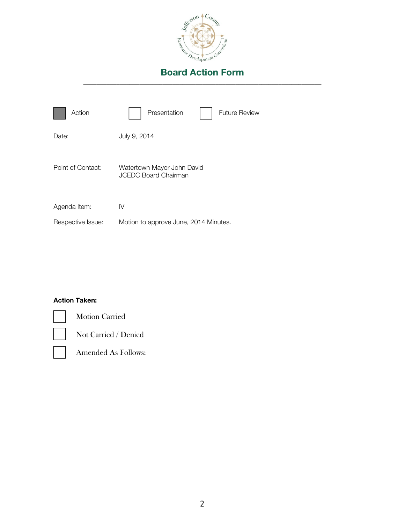

| Action            | Presentation<br><b>Future Review</b>                      |
|-------------------|-----------------------------------------------------------|
| Date:             | July 9, 2014                                              |
| Point of Contact: | Watertown Mayor John David<br><b>JCEDC Board Chairman</b> |
| Agenda Item:      | IV                                                        |
| Respective Issue: | Motion to approve June, 2014 Minutes.                     |

# Action Taken:



Motion Carried

Not Carried / Denied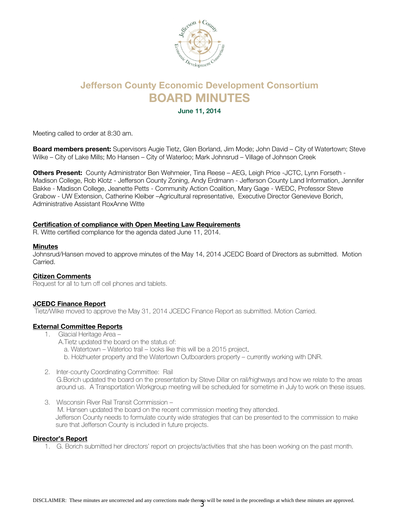

# Jefferson County Economic Development Consortium BOARD MINUTES

June 11, 2014

Meeting called to order at 8:30 am.

Board members present: Supervisors Augie Tietz, Glen Borland, Jim Mode; John David - City of Watertown; Steve Wilke – City of Lake Mills; Mo Hansen – City of Waterloo; Mark Johnsrud – Village of Johnson Creek

Others Present: County Administrator Ben Wehmeier, Tina Reese – AEG, Leigh Price -JCTC, Lynn Forseth - Madison College, Rob Klotz - Jefferson County Zoning, Andy Erdmann - Jefferson County Land Information, Jennifer Bakke - Madison College, Jeanette Petts - Community Action Coalition, Mary Gage - WEDC, Professor Steve Grabow - UW Extension, Catherine Kleiber –Agricultural representative, Executive Director Genevieve Borich, Administrative Assistant RoxAnne Witte

### Certification of compliance with Open Meeting Law Requirements

R. Witte certified compliance for the agenda dated June 11, 2014.

### **Minutes**

Johnsrud/Hansen moved to approve minutes of the May 14, 2014 JCEDC Board of Directors as submitted. Motion Carried.

### Citizen Comments

Request for all to turn off cell phones and tablets.

### JCEDC Finance Report

Tietz/Wilke moved to approve the May 31, 2014 JCEDC Finance Report as submitted. Motion Carried.

### External Committee Reports

- 1. Glacial Heritage Area
	- A.Tietz updated the board on the status of:
		- a. Watertown Waterloo trail looks like this will be a 2015 project.
		- b. Holzhueter property and the Watertown Outboarders property currently working with DNR.
- 2. Inter-county Coordinating Committee: Rail G.Borich updated the board on the presentation by Steve Dillar on rail/highways and how we relate to the areas
	- around us. A Transportation Workgroup meeting will be scheduled for sometime in July to work on these issues.
- 3. Wisconsin River Rail Transit Commission M. Hansen updated the board on the recent commission meeting they attended. Jefferson County needs to formulate county wide strategies that can be presented to the commission to make sure that Jefferson County is included in future projects.

### Director's Report

1. G. Borich submitted her directors' report on projects/activities that she has been working on the past month.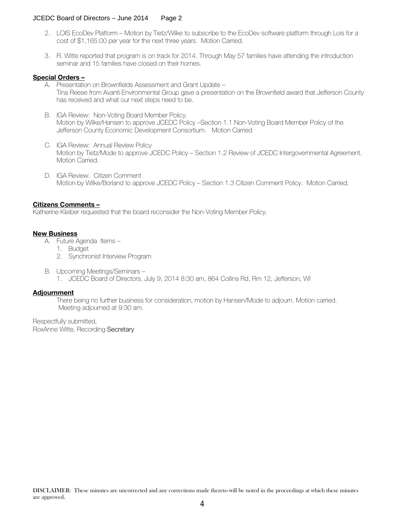# JCEDC Board of Directors – June 2014 Page 2

- 2. LOIS EcoDev Platform Motion by Tietz/Wilke to subscribe to the EcoDev software platform through Lois for a cost of \$1,165.00 per year for the next three years. Motion Carried.
- 3. R. Witte reported that program is on track for 2014. Through May 57 families have attending the introduction seminar and 15 families have closed on their homes.

### Special Orders –

- A. Presentation on Brownfields Assessment and Grant Update Tina Reese from Avanti Environmental Group gave a presentation on the Brownfield award that Jefferson County has received and what our next steps need to be.
- B. IGA Review: Non-Voting Board Member Policy. Motion by Wilke/Hansen to approve JCEDC Policy –Section 1.1 Non-Voting Board Member Policy of the Jefferson County Economic Development Consortium. Motion Carried
- C. IGA Review: Annual Review Policy Motion by Tietz/Mode to approve JCEDC Policy – Section 1.2 Review of JCEDC Intergovernmental Agreement. Motion Carried.
- D. IGA Review: Citizen Comment Motion by Wilke/Borland to approve JCEDC Policy – Section 1.3 Citizen Comment Policy. Motion Carried.

### Citizens Comments –

Katherine Kleiber requested that the board reconsider the Non-Voting Member Policy.

### New Business

- A. Future Agenda Items
	- 1. Budget
	- 2. Synchronist Interview Program
- B. Upcoming Meetings/Seminars
	- 1. JCEDC Board of Directors, July 9, 2014 8:30 am, 864 Collins Rd, Rm 12, Jefferson, WI

### **Adjournment**

There being no further business for consideration, motion by Hansen/Mode to adjourn. Motion carried. Meeting adjourned at 9:30 am.

Respectfully submitted, RoxAnne Witte, Recording Secretary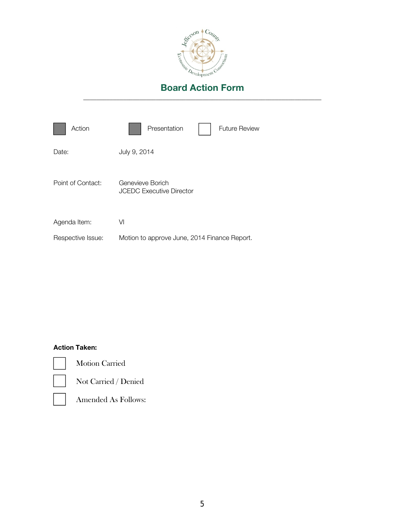

| Action            | Presentation<br><b>Future Review</b>                |
|-------------------|-----------------------------------------------------|
| Date:             | July 9, 2014                                        |
| Point of Contact: | Genevieve Borich<br><b>JCEDC Executive Director</b> |
| Agenda Item:      | VI                                                  |
| Respective Issue: | Motion to approve June, 2014 Finance Report.        |

# Action Taken:



Motion Carried



Not Carried / Denied

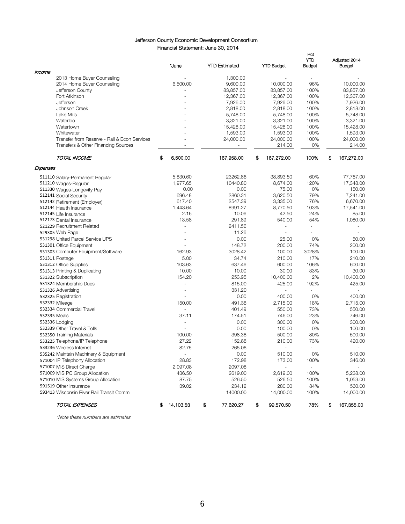### Jefferson County Economic Development Consortium Financial Statement: June 30, 2014

|                                              | *June           | <b>YTD Estimated</b> | <b>YTD Budget</b>        | Pct<br>YTD<br><b>Budget</b> | Adjusted 2014<br><b>Budget</b> |
|----------------------------------------------|-----------------|----------------------|--------------------------|-----------------------------|--------------------------------|
| Income                                       |                 |                      |                          |                             |                                |
| 2013 Home Buyer Counseling                   |                 | 1,300.00             |                          |                             |                                |
| 2014 Home Buyer Counseling                   | 6,500.00        | 9,600.00             | 10,000.00                | 96%                         | 10,000.00                      |
| Jefferson County                             |                 | 83,857.00            | 83,857.00                | 100%                        | 83,857.00                      |
| Fort Atkinson                                |                 | 12,367.00            | 12,367.00                | 100%                        | 12,367.00                      |
| Jefferson                                    |                 | 7,926.00             | 7,926.00                 | 100%                        | 7,926.00                       |
| Johnson Creek<br>Lake Mills                  |                 | 2,818.00             | 2,818.00<br>5,748.00     | 100%<br>100%                | 2,818.00<br>5,748.00           |
| Waterloo                                     |                 | 5,748.00<br>3,321.00 | 3,321.00                 | 100%                        | 3,321.00                       |
| Watertown                                    |                 | 15,428.00            | 15,428.00                | 100%                        | 15,428.00                      |
| Whitewater                                   |                 | 1,593.00             | 1,593.00                 | 100%                        | 1,593.00                       |
| Transfer from Reserve - Rail & Econ Services |                 | 24,000.00            | 24,000.00                | 100%                        | 24,000.00                      |
| Transfers & Other Financing Sources          |                 |                      | 214.00                   | 0%                          | 214.00                         |
| TOTAL INCOME                                 | S<br>6,500.00   | 167,958.00           | \$<br>167,272.00         | 100%                        | \$<br>167,272.00               |
| Expenses                                     |                 |                      |                          |                             |                                |
| 511110 Salary-Permanent Regular              | 5,830.60        | 23262.86             | 38,893.50                | 60%                         | 77,787.00                      |
| 511210 Wages-Regular                         | 1,977.65        | 10440.80             | 8,674.00                 | 120%                        | 17,348.00                      |
| 511330 Wages-Longevity Pay                   | 0.00            | 0.00                 | 75.00                    | 0%                          | 150.00                         |
| 512141 Social Security                       | 696.48          | 2860.31              | 3,620.50                 | 79%                         | 7,241.00                       |
| 512142 Retirement (Employer)                 | 617.40          | 2547.39              | 3,335.00                 | 76%                         | 6,670.00                       |
| 512144 Health Insurance                      | 1,443.64        | 8991.27              | 8,770.50                 | 103%                        | 17,541.00                      |
| 512145 Life Insurance                        | 2.16            | 10.06                | 42.50                    | 24%                         | 85.00                          |
| 512173 Dental Insurance                      | 13.58           | 291.89               | 540.00                   | 54%                         | 1,080.00                       |
| 521229 Recruitment Related                   |                 | 2411.56              | ÷.                       | $\sim$                      | ÷.                             |
| 529305 Web Page                              |                 | 11.26                |                          |                             |                                |
| 531298 United Parcel Service UPS             |                 | 0.00                 | 25.00                    | 0%                          | 50.00                          |
| 531301 Office Equipment                      |                 | 148.72               | 200.00                   | 74%                         | 200.00                         |
| 531303 Computer Equipment/Software           | 162.93          | 3028.42              | 100.00                   | 3028%                       | 100.00                         |
| 531311 Postage                               | 5.00            | 34.74                | 210.00                   | 17%                         | 210.00                         |
| 531312 Office Supplies                       | 103.63          | 637.46               | 600.00                   | 106%                        | 600.00                         |
| 531313 Printing & Duplicating                | 10.00           | 10.00                | 30.00                    | 33%                         | 30.00                          |
| 531322 Subscription                          | 154.20          | 253.95               | 10,400.00                | 2%                          | 10,400.00                      |
| 531324 Membership Dues                       |                 | 815.00               | 425.00                   | 192%                        | 425.00                         |
| 531326 Advertising                           | L,              | 331.20               | $\blacksquare$           | ÷,                          |                                |
| 532325 Registration                          |                 | 0.00                 | 400.00                   | 0%                          | 400.00                         |
| 532332 Mileage                               | 150.00          | 491.38               | 2,715.00                 | 18%                         | 2,715.00                       |
| 532334 Commercial Travel                     |                 | 401.49               | 550.00                   | 73%                         | 550.00                         |
| 532335 Meals                                 | 37.11           | 174.51               | 746.00                   | 23%                         | 746.00                         |
| 532336 Lodging                               | $\overline{a}$  | 0.00                 | 300.00                   | 0%                          | 300.00                         |
| 532339 Other Travel & Tolls                  |                 | 0.00                 | 100.00                   | 0%                          | 100.00                         |
| 532350 Training Materials                    | 100.00          | 398.38               | 500.00                   | 80%                         | 500.00                         |
| 533225 Telephone/IP Telephone                | 27.22           | 152.88               | 210.00                   | 73%                         | 420.00                         |
| 533236 Wireless Internet                     | 82.75           | 265.06               |                          |                             |                                |
| 535242 Maintain Machinery & Equipment        |                 | 0.00                 | 510.00                   | 0%                          | 510.00                         |
| 571004 IP Telephony Allocation               | 28.83           | 172.98               | 173.00                   | 100%                        | 346.00                         |
| 571007 MIS Direct Charge                     | 2,097.08        | 2097.08              | $\overline{\phantom{a}}$ | $\blacksquare$              | $\sim$                         |
| 571009 MIS PC Group Allocation               | 436.50          | 2619.00              | 2,619.00                 | 100%                        | 5,238.00                       |
| 571010 MIS Systems Group Allocation          | 87.75           | 526.50               | 526.50                   | 100%                        | 1,053.00                       |
| 591519 Other Insurance                       | 39.02           | 234.12               | 280.00                   | 84%                         | 560.00                         |
| 593413 Wisconsin River Rail Transit Comm     |                 | 14000.00             | 14,000.00                | 100%                        | 14,000.00                      |
| TOTAL EXPENSES                               | 14,103.53<br>\$ | \$<br>77,620.27      | €<br>99,570.50           | 78%                         | 167,355.00<br>\$               |

\*Note these numbers are estimates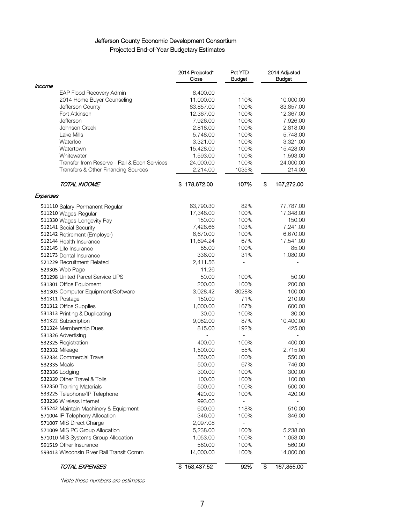# Jefferson County Economic Development Consortium Projected End-of-Year Budgetary Estimates

|                                                                                     | 2014 Projected*<br>Close | Pct YTD<br><b>Budget</b> | 2014 Adjusted<br><b>Budget</b> |
|-------------------------------------------------------------------------------------|--------------------------|--------------------------|--------------------------------|
| Income                                                                              |                          |                          |                                |
| EAP Flood Recovery Admin                                                            | 8,400.00                 |                          |                                |
| 2014 Home Buyer Counseling                                                          | 11,000.00                | 110%                     | 10,000.00                      |
| Jefferson County                                                                    | 83,857.00                | 100%                     | 83,857.00                      |
| Fort Atkinson                                                                       | 12,367.00                | 100%                     | 12,367.00                      |
| Jefferson                                                                           | 7,926.00                 | 100%                     | 7,926.00                       |
| Johnson Creek                                                                       | 2,818.00                 | 100%                     | 2,818.00                       |
| Lake Mills                                                                          | 5,748.00                 | 100%                     | 5,748.00                       |
| Waterloo                                                                            | 3,321.00                 | 100%                     | 3,321.00                       |
| Watertown                                                                           | 15,428.00                | 100%                     | 15,428.00                      |
| Whitewater                                                                          | 1,593.00                 | 100%                     | 1,593.00                       |
| Transfer from Reserve - Rail & Econ Services<br>Transfers & Other Financing Sources | 24,000.00<br>2,214.00    | 100%<br>1035%            | 24,000.00<br>214.00            |
| TOTAL INCOME                                                                        | 178,672.00<br>s          | 107%                     | \$<br>167,272.00               |
| Expenses                                                                            |                          |                          |                                |
|                                                                                     | 63,790.30                | 82%                      | 77,787.00                      |
| 511110 Salary-Permanent Regular<br>511210 Wages-Regular                             | 17,348.00                | 100%                     | 17,348.00                      |
| 511330 Wages-Longevity Pay                                                          | 150.00                   | 100%                     | 150.00                         |
| 512141 Social Security                                                              | 7,428.66                 | 103%                     | 7,241.00                       |
| 512142 Retirement (Employer)                                                        | 6,670.00                 | 100%                     | 6,670.00                       |
| 512144 Health Insurance                                                             | 11,694.24                | 67%                      | 17,541.00                      |
| 512145 Life Insurance                                                               | 85.00                    | 100%                     | 85.00                          |
| 512173 Dental Insurance                                                             | 336.00                   | 31%                      | 1,080.00                       |
| 521229 Recruitment Related                                                          | 2,411.56                 |                          |                                |
| 529305 Web Page                                                                     | 11.26                    |                          |                                |
| 531298 United Parcel Service UPS                                                    | 50.00                    | 100%                     | 50.00                          |
| 531301 Office Equipment                                                             | 200.00                   | 100%                     | 200.00                         |
| 531303 Computer Equipment/Software                                                  | 3,028.42                 | 3028%                    | 100.00                         |
| 531311 Postage                                                                      | 150.00                   | 71%                      | 210.00                         |
| 531312 Office Supplies                                                              | 1,000.00                 | 167%                     | 600.00                         |
| 531313 Printing & Duplicating                                                       | 30.00                    | 100%                     | 30.00                          |
| 531322 Subscription                                                                 | 9,082.00                 | 87%                      | 10,400.00                      |
| 531324 Membership Dues                                                              | 815.00                   | 192%                     | 425.00                         |
| 531326 Advertising                                                                  |                          |                          |                                |
| 532325 Registration                                                                 | 400.00                   | 100%                     | 400.00                         |
| 532332 Mileage                                                                      | 1,500.00                 | 55%                      | 2,715.00                       |
| 532334 Commercial Travel                                                            | 550.00                   | 100%                     | 550.00                         |
| 532335 Meals                                                                        | 500.00                   | 67%                      | 746.00                         |
| 532336 Lodging                                                                      | 300.00                   | 100%                     | 300.00                         |
| 532339 Other Travel & Tolls                                                         | 100.00                   | 100%                     | 100.00                         |
|                                                                                     |                          | 100%                     |                                |
| 532350 Training Materials                                                           | 500.00                   |                          | 500.00                         |
| 533225 Telephone/IP Telephone                                                       | 420.00                   | 100%                     | 420.00                         |
| 533236 Wireless Internet                                                            | 993.00                   | $\blacksquare$           |                                |
| 535242 Maintain Machinery & Equipment                                               | 600.00                   | 118%                     | 510.00                         |
| 571004 IP Telephony Allocation                                                      | 346.00                   | 100%                     | 346.00                         |
| 571007 MIS Direct Charge                                                            | 2,097.08                 |                          |                                |
| 571009 MIS PC Group Allocation                                                      | 5,238.00                 | 100%                     | 5,238.00                       |
| 571010 MIS Systems Group Allocation                                                 | 1,053.00                 | 100%                     | 1,053.00                       |
| 591519 Other Insurance                                                              | 560.00                   | 100%                     | 560.00                         |
| 593413 Wisconsin River Rail Transit Comm                                            | 14,000.00                | 100%                     | 14,000.00                      |
| TOTAL EXPENSES                                                                      | \$153,437.52             | 92%                      | \$<br>167,355.00               |

\*Note these numbers are estimates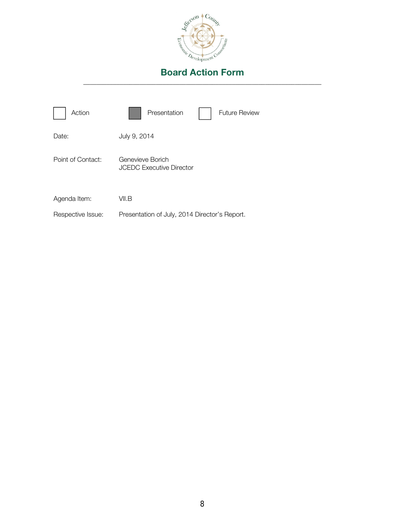

| Action            | Presentation<br><b>Future Review</b>                |
|-------------------|-----------------------------------------------------|
| Date:             | July 9, 2014                                        |
| Point of Contact: | Genevieve Borich<br><b>JCEDC Executive Director</b> |
| Agenda Item:      | VII.B                                               |
| Respective Issue: | Presentation of July, 2014 Director's Report.       |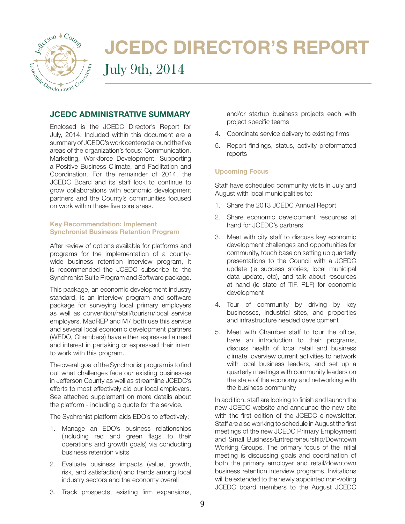

# JCEDC DIRECTOR'S REPORT

# July 9th, 2014

# JCEDC ADMINISTRATIVE SUMMARY

Enclosed is the JCEDC Director's Report for July, 2014. Included within this document are a summary of JCEDC's work centered around the five areas of the organization's focus: Communication, Marketing, Workforce Development, Supporting a Positive Business Climate, and Facilitation and Coordination. For the remainder of 2014, the JCEDC Board and its staff look to continue to grow collaborations with economic development partners and the County's communities focused on work within these five core areas.

# Key Recommendation: Implement Synchronist Business Retention Program

After review of options available for platforms and programs for the implementation of a countywide business retention interview program, it is recommended the JCEDC subscribe to the Synchronist Suite Program and Software package.

This package, an economic development industry standard, is an interview program and software package for surveying local primary employers as well as convention/retail/tourism/local service employers. MadREP and M7 both use this service and several local economic development partners (WEDO, Chambers) have either expressed a need and interest in partaking or expressed their intent to work with this program.

The overall goal of the Synchronist program is to find out what challenges face our existing businesses in Jefferson County as well as streamline JCEDC's efforts to most effectively aid our local employers. See attached supplement on more details about the platform - including a quote for the service.

The Sychronist platform aids EDO's to effectively:

- 1. Manage an EDO's business relationships (including red and green flags to their operations and growth goals) via conducting business retention visits
- 2. Evaluate business impacts (value, growth, risk, and satisfaction) and trends among local industry sectors and the economy overall

and/or startup business projects each with project specific teams

- 4. Coordinate service delivery to existing firms
- 5. Report findings, status, activity preformatted reports

# Upcoming Focus

Staff have scheduled community visits in July and August with local municipalities to:

- 1. Share the 2013 JCEDC Annual Report
- 2. Share economic development resources at hand for JCEDC's partners
- 3. Meet with city staff to discuss key economic development challenges and opportunities for community, touch base on setting up quarterly presentations to the Council with a JCEDC update (ie success stories, local municipal data update, etc), and talk about resources at hand (ie state of TIF, RLF) for economic development
- 4. Tour of community by driving by key businesses, industrial sites, and properties and infrastructure needed development
- 5. Meet with Chamber staff to tour the office, have an introduction to their programs, discuss health of local retail and business climate, overview current activities to network with local business leaders, and set up a quarterly meetings with community leaders on the state of the economy and networking with the business community

In addition, staff are looking to finish and launch the new JCEDC website and announce the new site with the first edition of the JCEDC e-newsletter. Staff are also working to schedule in August the first meetings of the new JCEDC Primary Employment and Small Business/Entrepreneurship/Downtown Working Groups. The primary focus of the initial meeting is discussing goals and coordination of both the primary employer and retail/downtown business retention interview programs. Invitations will be extended to the newly appointed non-voting JCEDC board members to the August JCEDC

3. Track prospects, existing firm expansions,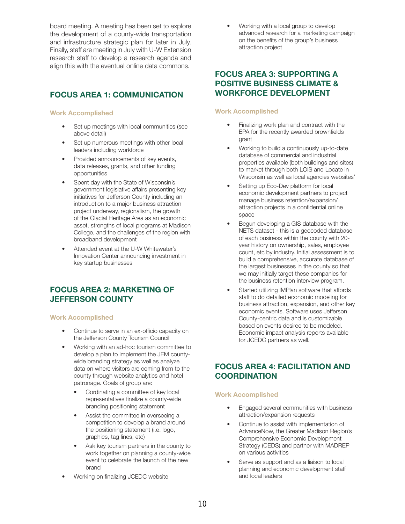board meeting. A meeting has been set to explore the development of a county-wide transportation and infrastructure strategic plan for later in July. Finally, staff are meeting in July with U-W Extension research staff to develop a research agenda and align this with the eventual online data commons.

# FOCUS AREA 1: COMMUNICATION

### Work Accomplished

- Set up meetings with local communities (see above detail)
- Set up numerous meetings with other local leaders including workforce
- Provided announcements of key events, data releases, grants, and other funding opportunities
- Spent day with the State of Wisconsin's government legislative affairs presenting key initiatives for Jefferson County including an introduction to a major business attraction project underway, regionalism, the growth of the Glacial Heritage Area as an economic asset, strengths of local programs at Madison College, and the challenges of the region with broadband development
- Attended event at the U-W Whitewater's Innovation Center announcing investment in key startup businesses

# FOCUS AREA 2: MARKETING OF JEFFERSON COUNTY

### Work Accomplished

- Continue to serve in an ex-officio capacity on the Jefferson County Tourism Council
- Working with an ad-hoc tourism committee to develop a plan to implement the JEM countywide branding strategy as well as analyze data on where visitors are coming from to the county through website analytics and hotel patronage. Goals of group are:
	- Cordinating a committee of key local representatives finalize a county-wide branding positioning statement
	- Assist the committee in overseeing a competition to develop a brand around the positioning statement (i.e. logo, graphics, tag lines, etc)
	- Ask key tourism partners in the county to work together on planning a county-wide event to celebrate the launch of the new brand
- Working on finalizing JCEDC website

• Working with a local group to develop advanced research for a marketing campaign on the benefits of the group's business attraction project

# FOCUS AREA 3: SUPPORTING A POSITIVE BUSINESS CLIMATE & WORKFORCE DEVELOPMENT

# Work Accomplished

- Finalizing work plan and contract with the EPA for the recently awarded brownfields grant
- Working to build a continuously up-to-date database of commercial and industrial properties available (both buildings and sites) to market through both LOIS and Locate in Wisconsin as well as local agencies websites'
- Setting up Eco-Dev platform for local economic development partners to project manage business retention/expansion/ attraction projects in a confidential online space
- Begun developing a GIS database with the NETS dataset - this is a geocoded database of each business within the county with 20 year history on ownership, sales, employee count, etc by industry. Initial assessment is to build a comprehensive, accurate database of the largest businesses in the county so that we may initially target these companies for the business retention interview program.
- Started utilizing IMPlan software that affords staff to do detailed economic modeling for business attraction, expansion, and other key economic events. Software uses Jefferson County-centric data and is customizable based on events desired to be modeled. Economic impact analysis reports available for JCEDC partners as well.

# FOCUS AREA 4: FACILITATION AND **COORDINATION**

### Work Accomplished

- Engaged several communities with business attraction/expansion requests
- Continue to assist with implementation of AdvanceNow, the Greater Madison Region's Comprehensive Economic Development Strategy (CEDS) and partner with MADREP on various activities
- Serve as support and as a liaison to local planning and economic development staff and local leaders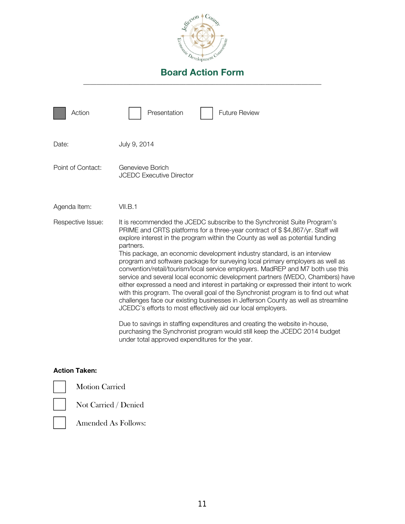

| Action            | Presentation<br>Future Review                                                                                                                                                                                                                                                                                                                                                                                                                                                                                                                                                                                                                                                                                                                                                                                                                                                                                                                                                                                                                                                                                                             |
|-------------------|-------------------------------------------------------------------------------------------------------------------------------------------------------------------------------------------------------------------------------------------------------------------------------------------------------------------------------------------------------------------------------------------------------------------------------------------------------------------------------------------------------------------------------------------------------------------------------------------------------------------------------------------------------------------------------------------------------------------------------------------------------------------------------------------------------------------------------------------------------------------------------------------------------------------------------------------------------------------------------------------------------------------------------------------------------------------------------------------------------------------------------------------|
| Date:             | July 9, 2014                                                                                                                                                                                                                                                                                                                                                                                                                                                                                                                                                                                                                                                                                                                                                                                                                                                                                                                                                                                                                                                                                                                              |
| Point of Contact: | Genevieve Borich<br><b>JCEDC Executive Director</b>                                                                                                                                                                                                                                                                                                                                                                                                                                                                                                                                                                                                                                                                                                                                                                                                                                                                                                                                                                                                                                                                                       |
| Agenda Item:      | VII.B.1                                                                                                                                                                                                                                                                                                                                                                                                                                                                                                                                                                                                                                                                                                                                                                                                                                                                                                                                                                                                                                                                                                                                   |
| Respective Issue: | It is recommended the JCEDC subscribe to the Synchronist Suite Program's<br>PRIME and CRTS platforms for a three-year contract of \$\$4,867/yr. Staff will<br>explore interest in the program within the County as well as potential funding<br>partners.<br>This package, an economic development industry standard, is an interview<br>program and software package for surveying local primary employers as well as<br>convention/retail/tourism/local service employers. MadREP and M7 both use this<br>service and several local economic development partners (WEDO, Chambers) have<br>either expressed a need and interest in partaking or expressed their intent to work<br>with this program. The overall goal of the Synchronist program is to find out what<br>challenges face our existing businesses in Jefferson County as well as streamline<br>JCEDC's efforts to most effectively aid our local employers.<br>Due to savings in staffing expenditures and creating the website in-house,<br>purchasing the Synchronist program would still keep the JCEDC 2014 budget<br>under total approved expenditures for the year. |

# Action Taken:

Motion Carried

Not Carried / Denied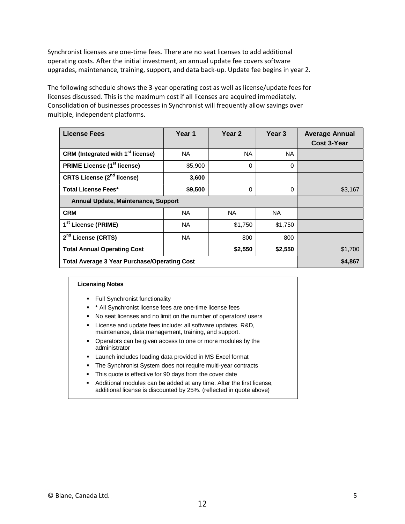Synchronist licenses are one-time fees. There are no seat licenses to add additional operating costs. After the initial investment, an annual update fee covers software upgrades, maintenance, training, support, and data back-up. Update fee begins in year 2.

The following schedule shows the 3-year operating cost as well as license/update fees for licenses discussed. This is the maximum cost if all licenses are acquired immediately. Consolidation of businesses processes in Synchronist will frequently allow savings over multiple, independent platforms.

| <b>License Fees</b>                                 | Year 1    | Year 2   | Year <sub>3</sub> | <b>Average Annual</b><br><b>Cost 3-Year</b> |
|-----------------------------------------------------|-----------|----------|-------------------|---------------------------------------------|
| CRM (Integrated with 1 <sup>st</sup> license)       | NA.       | NA.      | NA.               |                                             |
| <b>PRIME License (1st license)</b>                  | \$5,900   | $\Omega$ | 0                 |                                             |
| <b>CRTS License (2<sup>nd</sup> license)</b>        | 3,600     |          |                   |                                             |
| <b>Total License Fees*</b>                          | \$9,500   | $\Omega$ | 0                 | \$3,167                                     |
| Annual Update, Maintenance, Support                 |           |          |                   |                                             |
| <b>CRM</b>                                          | NA.       | NA.      | NA.               |                                             |
| 1 <sup>st</sup> License (PRIME)                     | <b>NA</b> | \$1,750  | \$1,750           |                                             |
| 2 <sup>nd</sup> License (CRTS)                      | <b>NA</b> | 800      | 800               |                                             |
| <b>Total Annual Operating Cost</b>                  |           | \$2,550  | \$2,550           | \$1,700                                     |
| <b>Total Average 3 Year Purchase/Operating Cost</b> |           |          |                   | \$4,867                                     |

### **Licensing Notes**

- **Full Synchronist functionality**
- \* \* All Synchronist license fees are one-time license fees
- � No seat licenses and no limit on the number of operators/ users
- **EXECT** License and update fees include: all software updates, R&D, maintenance, data management, training, and support.
- � Operators can be given access to one or more modules by the administrator
- � Launch includes loading data provided in MS Excel format
- **The Synchronist System does not require multi-year contracts**
- $\blacksquare$  This quote is effective for 90 days from the cover date
- Additional modules can be added at any time. After the first license, additional license is discounted by 25%. (reflected in quote above)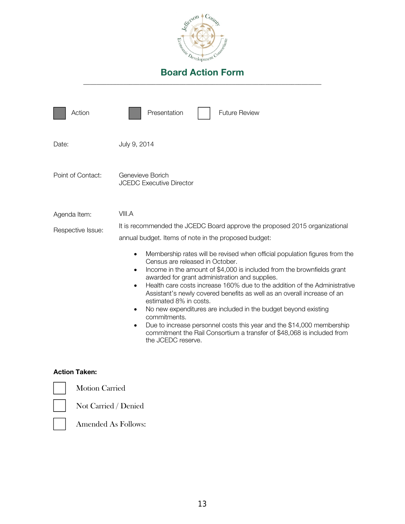

| Action                            | Presentation<br><b>Future Review</b>                                                                                                                                                                                                                                                                                                                                                                                                                                                                                                                                                                                                                                                                                                                                                                                                                                                       |
|-----------------------------------|--------------------------------------------------------------------------------------------------------------------------------------------------------------------------------------------------------------------------------------------------------------------------------------------------------------------------------------------------------------------------------------------------------------------------------------------------------------------------------------------------------------------------------------------------------------------------------------------------------------------------------------------------------------------------------------------------------------------------------------------------------------------------------------------------------------------------------------------------------------------------------------------|
| Date:                             | July 9, 2014                                                                                                                                                                                                                                                                                                                                                                                                                                                                                                                                                                                                                                                                                                                                                                                                                                                                               |
| Point of Contact:                 | Genevieve Borich<br><b>JCEDC Executive Director</b>                                                                                                                                                                                                                                                                                                                                                                                                                                                                                                                                                                                                                                                                                                                                                                                                                                        |
| Agenda Item:<br>Respective Issue: | VIII.A<br>It is recommended the JCEDC Board approve the proposed 2015 organizational<br>annual budget. Items of note in the proposed budget:<br>Membership rates will be revised when official population figures from the<br>$\bullet$<br>Census are released in October.<br>Income in the amount of \$4,000 is included from the brownfields grant<br>$\bullet$<br>awarded for grant administration and supplies.<br>Health care costs increase 160% due to the addition of the Administrative<br>$\bullet$<br>Assistant's newly covered benefits as well as an overall increase of an<br>estimated 8% in costs.<br>No new expenditures are included in the budget beyond existing<br>$\bullet$<br>commitments.<br>Due to increase personnel costs this year and the \$14,000 membership<br>commitment the Rail Consortium a transfer of \$48,068 is included from<br>the JCEDC reserve. |
|                                   |                                                                                                                                                                                                                                                                                                                                                                                                                                                                                                                                                                                                                                                                                                                                                                                                                                                                                            |

# Action Taken:

Motion Carried



Not Carried / Denied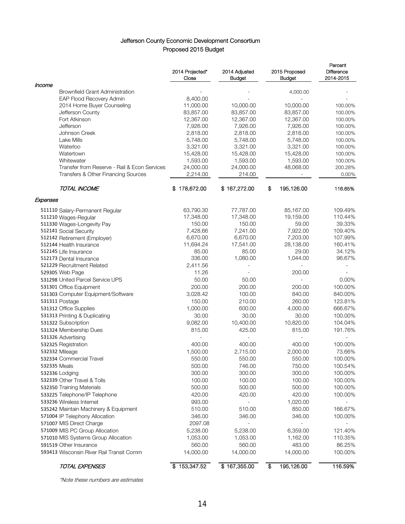# Jefferson County Economic Development Consortium Proposed 2015 Budget

|                                              | 2014 Projected*<br>Close | 2014 Adjusted<br>Budget | 2015 Proposed<br>Budget                        | Percent<br>Difference<br>2014-2015 |
|----------------------------------------------|--------------------------|-------------------------|------------------------------------------------|------------------------------------|
| Income                                       |                          |                         |                                                |                                    |
| <b>Brownfield Grant Administration</b>       |                          |                         | 4,000.00                                       |                                    |
| EAP Flood Recovery Admin                     | 8,400.00                 |                         | L.                                             |                                    |
| 2014 Home Buyer Counseling                   | 11,000.00                | 10,000.00               | 10,000.00                                      | 100.00%                            |
| Jefferson County                             | 83,857.00                | 83,857.00               | 83,857.00                                      | 100.00%                            |
| Fort Atkinson                                | 12,367.00                | 12,367.00               | 12,367.00                                      | 100.00%                            |
| Jefferson                                    | 7,926.00                 | 7,926.00                | 7,926.00                                       | 100.00%                            |
| Johnson Creek<br>Lake Mills                  | 2,818.00                 | 2,818.00                | 2,818.00                                       | 100.00%                            |
| Waterloo                                     | 5,748.00<br>3,321.00     | 5,748.00<br>3,321.00    | 5,748.00<br>3,321.00                           | 100.00%<br>100.00%                 |
| Watertown                                    | 15,428.00                | 15,428.00               | 15,428.00                                      | 100.00%                            |
| Whitewater                                   | 1,593.00                 | 1,593.00                | 1,593.00                                       | 100.00%                            |
| Transfer from Reserve - Rail & Econ Services | 24,000.00                | 24,000.00               | 48,068.00                                      | 200.28%                            |
| Transfers & Other Financing Sources          | 2,214.00                 | 214.00                  |                                                | 0.00%                              |
| TOTAL INCOME                                 | \$178,672.00             | \$167,272.00            | \$<br>195,126.00                               | 116.65%                            |
| Expenses                                     |                          |                         |                                                |                                    |
| 511110 Salary-Permanent Regular              | 63,790.30                | 77,787.00               | 85,167.00                                      | 109.49%                            |
| 511210 Wages-Regular                         | 17,348.00                | 17,348.00               | 19,159.00                                      | 110.44%                            |
| 511330 Wages-Longevity Pay                   | 150.00                   | 150.00                  | 59.00                                          | 39.33%                             |
| 512141 Social Security                       | 7,428.66                 | 7,241.00                | 7,922.00                                       | 109.40%                            |
| 512142 Retirement (Employer)                 | 6,670.00                 | 6,670.00                | 7,203.00                                       | 107.99%                            |
| 512144 Health Insurance                      | 11,694.24                | 17,541.00               | 28,138.00                                      | 160.41%                            |
| 512145 Life Insurance                        | 85.00                    | 85.00                   | 29.00                                          | 34.12%                             |
| 512173 Dental Insurance                      | 336.00                   | 1,080.00                | 1,044.00                                       | 96.67%                             |
| 521229 Recruitment Related                   | 2,411.56                 |                         |                                                |                                    |
| 529305 Web Page                              | 11.26                    |                         | 200.00                                         |                                    |
| 531298 United Parcel Service UPS             | 50.00                    | 50.00                   |                                                | $0.00\%$                           |
| 531301 Office Equipment                      | 200.00                   | 200.00                  | 200.00                                         | 100.00%                            |
| 531303 Computer Equipment/Software           | 3,028.42                 | 100.00                  | 840.00                                         | 840.00%                            |
| 531311 Postage                               | 150.00                   | 210.00                  | 260.00                                         | 123.81%                            |
| 531312 Office Supplies                       | 1,000.00                 | 600.00                  | 4,000.00                                       | 666.67%                            |
| 531313 Printing & Duplicating                | 30.00                    | 30.00                   | 30.00                                          | 100.00%                            |
| 531322 Subscription                          | 9,082.00                 | 10,400.00               | 10,820.00                                      | 104.04%                            |
| 531324 Membership Dues                       | 815.00                   | 425.00                  | 815.00                                         | 191.76%                            |
| 531326 Advertising                           |                          |                         |                                                |                                    |
| 532325 Registration                          | 400.00                   | 400.00                  | 400.00                                         | 100.00%                            |
| 532332 Mileage                               | 1,500.00                 | 2,715.00                | 2,000.00                                       | 73.66%                             |
| 532334 Commercial Travel                     | 550.00                   | 550.00                  | 550.00                                         | 100.00%                            |
| 532335 Meals                                 | 500.00                   | 746.00                  | 750.00                                         | 100.54%                            |
| 532336 Lodging                               | 300.00                   | 300.00                  | 300.00                                         | 100.00%                            |
| 532339 Other Travel & Tolls                  | 100.00                   | 100.00                  | 100.00                                         | 100.00%                            |
| 532350 Training Materials                    | 500.00                   | 500.00                  | 500.00                                         | 100.00%                            |
| 533225 Telephone/IP Telephone                | 420.00                   | 420.00                  | 420.00                                         | 100.00%                            |
| 533236 Wireless Internet                     | 993.00                   |                         | 1,020.00                                       |                                    |
| 535242 Maintain Machinery & Equipment        | 510.00                   | 510.00                  | 850.00                                         | 166.67%                            |
| 571004 IP Telephony Allocation               | 346.00                   | 346.00                  | 346.00                                         | 100.00%                            |
| 571007 MIS Direct Charge                     | 2097.08                  |                         |                                                |                                    |
| 571009 MIS PC Group Allocation               | 5,238.00                 | 5,238.00                | 6,359.00                                       | 121.40%                            |
| 571010 MIS Systems Group Allocation          | 1,053.00                 | 1,053.00                | 1,162.00                                       | 110.35%                            |
| 591519 Other Insurance                       | 560.00                   | 560.00                  | 483.00                                         | 86.25%                             |
| 593413 Wisconsin River Rail Transit Comm     | 14,000.00                | 14,000.00               | 14,000.00                                      | 100.00%                            |
| <b>TOTAL EXPENSES</b>                        | \$153,347.52             | \$167,355.00            | $\overline{\boldsymbol{\theta}}$<br>195,126.00 | 116.59%                            |

\*Note these numbers are estimates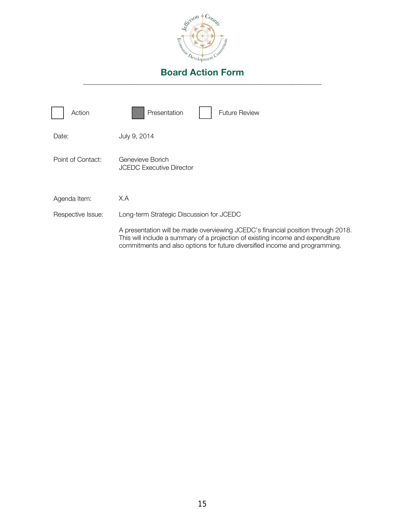

| Action            | Presentation<br><b>Future Review</b>                                                                                                                                                                                                              |
|-------------------|---------------------------------------------------------------------------------------------------------------------------------------------------------------------------------------------------------------------------------------------------|
| Date:             | July 9, 2014                                                                                                                                                                                                                                      |
| Point of Contact: | Genevieve Borich<br><b>JCEDC Executive Director</b>                                                                                                                                                                                               |
| Agenda Item:      | X.A                                                                                                                                                                                                                                               |
| Respective Issue: | Long-term Strategic Discussion for JCEDC                                                                                                                                                                                                          |
|                   | A presentation will be made overviewing JCEDC's financial position through 2018.<br>This will include a summary of a projection of existing income and expenditure<br>commitments and also options for future diversified income and programming. |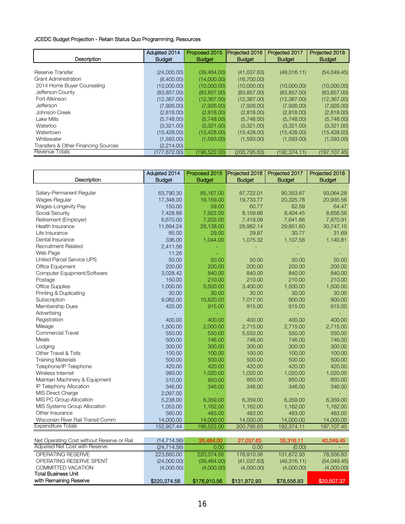### JCEDC Budget Projection - Retain Status Quo Programming, Resources

| Description                         | Aduisted 2014<br><b>Budget</b> | Proposed 2015<br><b>Budget</b> | Projected 2016<br><b>Budget</b> | Projected 2017<br><b>Budget</b> | Projected 2018<br><b>Budget</b> |
|-------------------------------------|--------------------------------|--------------------------------|---------------------------------|---------------------------------|---------------------------------|
|                                     |                                |                                |                                 |                                 |                                 |
| Reserve Transfer                    | (24,000.00)                    | (39, 464.00)                   | (41,037.63)                     | (49,316.11)                     | (54,049.45)                     |
| <b>Grant Administration</b>         | (8,400.00)                     | (14,000.00)                    | (16,700.00)                     |                                 |                                 |
| 2014 Home Buyer Counseling          | (10,000.00)                    | (10,000.00)                    | (10,000.00)                     | (10,000.00)                     | (10,000.00)                     |
| Jefferson County                    | (83, 857.00)                   | (83, 857.00)                   | (83, 857.00)                    | (83, 857.00)                    | (83, 857.00)                    |
| Fort Atkinson                       | (12,367.00)                    | (12, 367.00)                   | (12, 367.00)                    | (12,367.00)                     | (12, 367, 00)                   |
| Jefferson                           | (7,926.00)                     | (7,926.00)                     | (7,926.00)                      | (7,926.00)                      | (7,926.00)                      |
| Johnson Creek                       | (2,818.00)                     | (2,818.00)                     | (2,818.00)                      | (2,818.00)                      | (2,818.00)                      |
| Lake Mills                          | (5,748.00)                     | (5,748.00)                     | (5,748.00)                      | (5,748.00)                      | (5,748.00)                      |
| Waterloo                            | (3,321.00)                     | (3,321.00)                     | (3,321.00)                      | (3,321.00)                      | (3,321.00)                      |
| Watertown                           | (15, 428.00)                   | (15, 428.00)                   | (15, 428.00)                    | (15, 428.00)                    | (15, 428.00)                    |
| Whitewater                          | (1,593.00)                     | (1,593.00)                     | (1,593.00)                      | (1,593.00)                      | (1,593.00)                      |
| Transfers & Other Financing Sources | (2,214.00)                     |                                |                                 |                                 |                                 |
| Revenue Totals                      | (177, 672.00)                  | (196, 522.00)                  | (200.795.63)                    | (192,374.11)                    | (197,107.45)                    |

|                                            | Adujsted 2014 | Proposed 2015 | Projected 2016 | Projected 2017 | Projected 2018 |
|--------------------------------------------|---------------|---------------|----------------|----------------|----------------|
| Description                                | <b>Budget</b> | <b>Budget</b> | <b>Budget</b>  | <b>Budget</b>  | <b>Budget</b>  |
| Salary-Permanent Regular                   | 63,790.30     | 85,167.00     | 87,722.01      | 90,353.67      | 93,064.28      |
| Wages-Regular                              | 17,348.00     | 19,159.00     | 19,733.77      | 20,325.78      | 20,935.56      |
| Wages-Longevity Pay                        | 150.00        | 59.00         | 60.77          | 62.59          | 64.47          |
| Social Security                            | 7,428.66      | 7,922.00      | 8,159.66       | 8,404.45       | 8,656.58       |
| Retirement (Employer)                      | 6,670.00      | 7,203.00      | 7,419.09       | 7,641.66       | 7,870.91       |
| Health Insurance                           | 11,694.24     | 28,138.00     | 28,982.14      | 29,851.60      | 30,747.15      |
| Life Insurance                             | 85.00         | 29.00         | 29.87          | 30.77          | 31.69          |
| Dental Insurance                           | 336.00        | 1,044.00      | 1,075.32       | 1,107.58       | 1,140.81       |
| <b>Recruitment Related</b>                 | 2,411.56      |               |                |                |                |
| Web Page                                   | 11.26         |               |                |                |                |
| United Parcel Service UPS                  | 50.00         | 50.00         | 50.00          | 50.00          | 50.00          |
| <b>Office Equipment</b>                    | 200.00        | 200.00        | 200.00         | 200.00         | 200.00         |
| Computer Equipment/Software                | 3,028.42      | 840.00        | 840.00         | 840.00         | 840.00         |
| Postage                                    | 150.00        | 210.00        | 210.00         | 210.00         | 210.00         |
| <b>Office Supplies</b>                     | 1,000.00      | 5,500.00      | 3,400.00       | 1,500.00       | 1,500.00       |
| Printing & Duplicating                     | 30.00         | 30.00         | 30.00          | 30.00          | 30.00          |
| Subscription                               | 9,082.00      | 10,820.00     | 7,017.00       | 900.00         | 900.00         |
| Membership Dues                            | 425.00        | 915.00        | 915.00         | 915.00         | 915.00         |
| Advertising                                |               |               |                |                |                |
| Registration                               | 400.00        | 400.00        | 400.00         | 400.00         | 400.00         |
| Mileage                                    | 1,500.00      | 2,000.00      | 2,715.00       | 2,715.00       | 2,715.00       |
| <b>Commercial Travel</b>                   | 550.00        | 550.00        | 5,550.00       | 550.00         | 550.00         |
| Meals                                      | 500.00        | 746.00        | 746.00         | 746.00         | 746.00         |
| Lodging                                    | 300.00        | 300.00        | 300.00         | 300.00         | 300.00         |
| Other Travel & Tolls                       | 100.00        | 100.00        | 100.00         | 100.00         | 100.00         |
| <b>Training Materials</b>                  | 500.00        | 500.00        | 500.00         | 500.00         | 500.00         |
| Telephone/IP Telephone                     | 420.00        | 420.00        | 420.00         | 420.00         | 420.00         |
| Wireless Internet                          | 993.00        | 1,020.00      | 1,020.00       | 1,020.00       | 1,020.00       |
| Maintain Machinery & Equipment             | 510.00        | 850.00        | 850.00         | 850.00         | 850.00         |
| IP Telephony Allocation                    | 346.00        | 346.00        | 346.00         | 346.00         | 346.00         |
| <b>MIS Direct Charge</b>                   | 2,097.00      |               | u,             | ä,             |                |
| MIS PC Group Allocation                    | 5,238.00      | 6,359.00      | 6,359.00       | 6,359.00       | 6,359.00       |
| MIS Systems Group Allocation               | 1,053.00      | 1,162.00      | 1,162.00       | 1,162.00       | 1,162.00       |
| Other Insurance                            | 560.00        | 483.00        | 483.00         | 483.00         | 483.00         |
| Wisconsin River Rail Transit Comm          | 14,000.00     | 14,000.00     | 14,000.00      | 14,000.00      | 14,000.00      |
| <b>Expenditure Totals</b>                  | 152,957.44    | 196,522.00    | 200,795.63     | 192,374.11     | 197,107.45     |
|                                            |               |               |                |                |                |
| Net Operating Cost without Reserve or Rail | (14, 714.56)  | 25,464.00     | 27,037.63      | 35,316.11      | 40,049.45      |
| Adjusted Net Cost with Reserve             | (24, 714.56)  | 0.00          | 0.00           | (0.00)         |                |
| <b>OPERATING RESERVE</b>                   | 223,660.00    | 220,374.56    | 176,910.56     | 131,872.93     | 78,556.83      |

| with Remaining Reserve         | \$220,374.56 | \$176,910,56 | \$131,872,93 | \$78,556.83 | \$20,507.37 |
|--------------------------------|--------------|--------------|--------------|-------------|-------------|
| Total Business Unit            |              |              |              |             |             |
| COMMITTED VACATION             | (4,000.00)   | (4,000.00)   | (4,000.00)   | (4,000.00)  | (4,000.00)  |
| OPERATING RESERVE SPENT        | (24,000.00)  | (39, 464.00) | (41,037.63)  | (49,316.11) | (54,049.45) |
| OPERATING RESERVE              | 223,660,00   | 220.374.56   | 176,910.56   | 131.872.93  | 78,556.83   |
| Adjusted Net Cost with Reserve | (24, 714.56) | $0.00 -$     | 0.00         | (0.00)      |             |